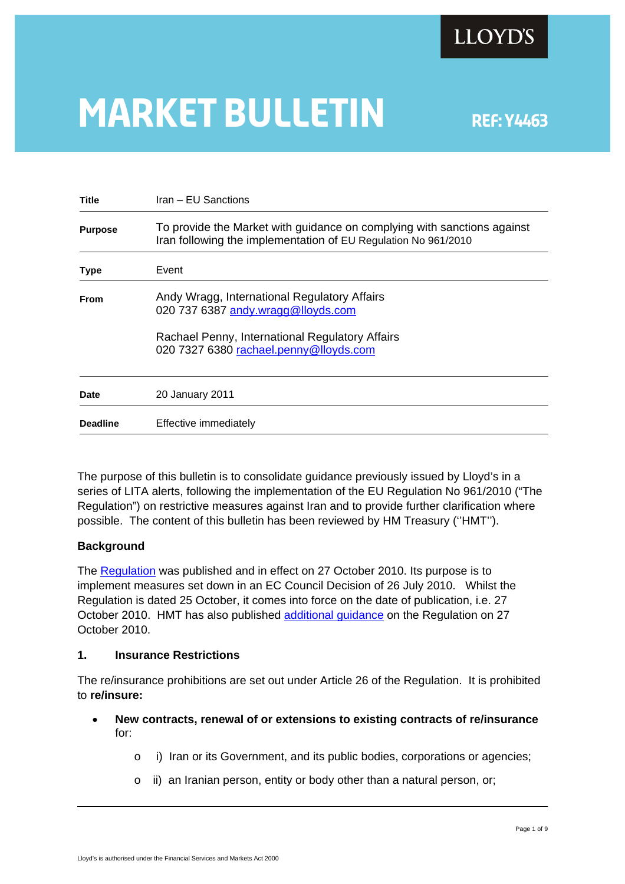

# **MARKET BULLETIN** REF: Y4463

| <b>Title</b>    | Iran – EU Sanctions                                                                                                                       |
|-----------------|-------------------------------------------------------------------------------------------------------------------------------------------|
| <b>Purpose</b>  | To provide the Market with guidance on complying with sanctions against<br>Iran following the implementation of EU Regulation No 961/2010 |
| <b>Type</b>     | Event                                                                                                                                     |
| <b>From</b>     | Andy Wragg, International Regulatory Affairs<br>020 737 6387 andy.wragg@lloyds.com                                                        |
|                 | Rachael Penny, International Regulatory Affairs<br>020 7327 6380 rachael.penny@lloyds.com                                                 |
| Date            | 20 January 2011                                                                                                                           |
| <b>Deadline</b> | Effective immediately                                                                                                                     |

The purpose of this bulletin is to consolidate guidance previously issued by Lloyd's in a series of LITA alerts, following the implementation of the EU Regulation No 961/2010 ("The Regulation") on restrictive measures against Iran and to provide further clarification where possible. The content of this bulletin has been reviewed by HM Treasury (''HMT'').

# **Background**

The [Regulation](http://www.hm-treasury.gov.uk/d/council_regulation_eu_961_251010.pdf) was published and in effect on 27 October 2010. Its purpose is to implement measures set down in an EC Council Decision of 26 July 2010. Whilst the Regulation is dated 25 October, it comes into force on the date of publication, i.e. 27 October 2010. HMT has also published [additional guidance](http://www.hm-treasury.gov.uk/d/public_notice_reg961_271010.pdf) on the Regulation on 27 October 2010.

# **1. Insurance Restrictions**

The re/insurance prohibitions are set out under Article 26 of the Regulation. It is prohibited to **re/insure:** 

- **New contracts, renewal of or extensions to existing contracts of re/insurance** for:
	- o i) Iran or its Government, and its public bodies, corporations or agencies;
	- o ii) an Iranian person, entity or body other than a natural person, or;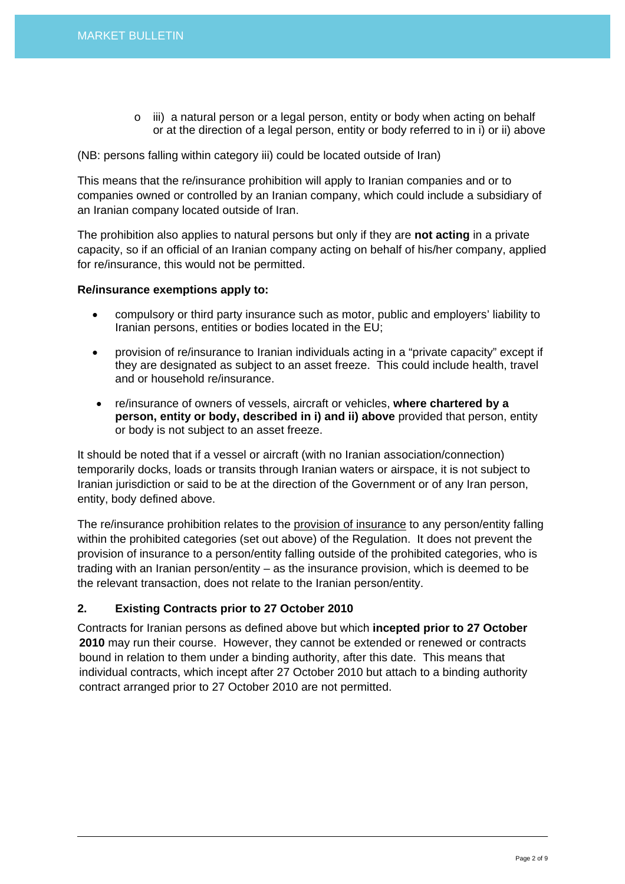o iii) a natural person or a legal person, entity or body when acting on behalf or at the direction of a legal person, entity or body referred to in i) or ii) above

(NB: persons falling within category iii) could be located outside of Iran)

This means that the re/insurance prohibition will apply to Iranian companies and or to companies owned or controlled by an Iranian company, which could include a subsidiary of an Iranian company located outside of Iran.

The prohibition also applies to natural persons but only if they are **not acting** in a private capacity, so if an official of an Iranian company acting on behalf of his/her company, applied for re/insurance, this would not be permitted.

## **Re/insurance exemptions apply to:**

- compulsory or third party insurance such as motor, public and employers' liability to Iranian persons, entities or bodies located in the EU;
- provision of re/insurance to Iranian individuals acting in a "private capacity" except if they are designated as subject to an asset freeze. This could include health, travel and or household re/insurance.
- re/insurance of owners of vessels, aircraft or vehicles, **where chartered by a person, entity or body, described in i) and ii) above** provided that person, entity or body is not subject to an asset freeze.

It should be noted that if a vessel or aircraft (with no Iranian association/connection) temporarily docks, loads or transits through Iranian waters or airspace, it is not subject to Iranian jurisdiction or said to be at the direction of the Government or of any Iran person, entity, body defined above.

The re/insurance prohibition relates to the provision of insurance to any person/entity falling within the prohibited categories (set out above) of the Regulation. It does not prevent the provision of insurance to a person/entity falling outside of the prohibited categories, who is trading with an Iranian person/entity – as the insurance provision, which is deemed to be the relevant transaction, does not relate to the Iranian person/entity.

# **2. Existing Contracts prior to 27 October 2010**

Contracts for Iranian persons as defined above but which **incepted prior to 27 October 2010** may run their course. However, they cannot be extended or renewed or contracts bound in relation to them under a binding authority, after this date. This means that individual contracts, which incept after 27 October 2010 but attach to a binding authority contract arranged prior to 27 October 2010 are not permitted.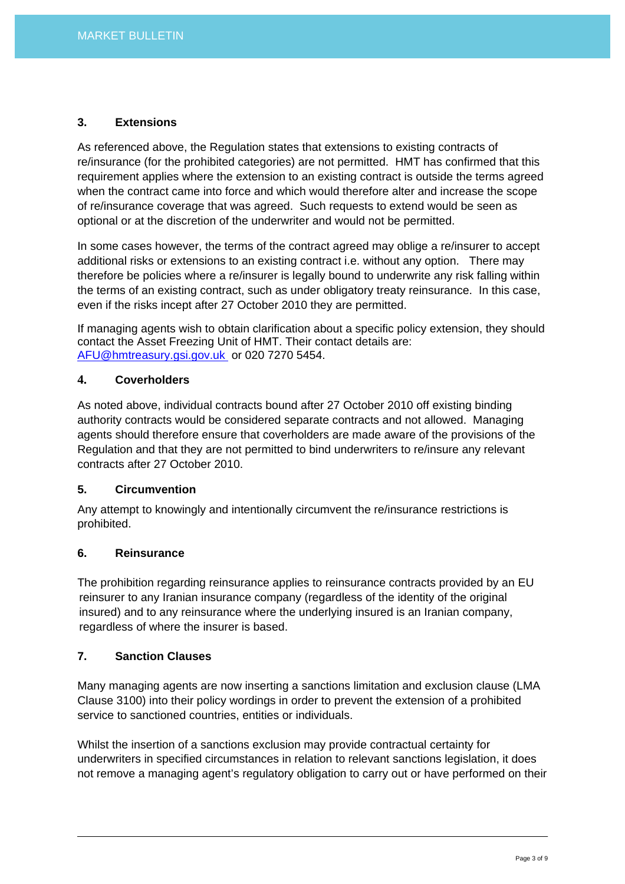# **3. Extensions**

As referenced above, the Regulation states that extensions to existing contracts of re/insurance (for the prohibited categories) are not permitted. HMT has confirmed that this requirement applies where the extension to an existing contract is outside the terms agreed when the contract came into force and which would therefore alter and increase the scope of re/insurance coverage that was agreed. Such requests to extend would be seen as optional or at the discretion of the underwriter and would not be permitted.

In some cases however, the terms of the contract agreed may oblige a re/insurer to accept additional risks or extensions to an existing contract i.e. without any option. There may therefore be policies where a re/insurer is legally bound to underwrite any risk falling within the terms of an existing contract, such as under obligatory treaty reinsurance. In this case, even if the risks incept after 27 October 2010 they are permitted.

If managing agents wish to obtain clarification about a specific policy extension, they should contact the Asset Freezing Unit of HMT. Their contact details are: [AFU@hmtreasury.gsi.gov.uk](mailto:AFU@hmtreasury.gsi.gov.uk) or 020 7270 5454.

## **4. Coverholders**

As noted above, individual contracts bound after 27 October 2010 off existing binding authority contracts would be considered separate contracts and not allowed. Managing agents should therefore ensure that coverholders are made aware of the provisions of the Regulation and that they are not permitted to bind underwriters to re/insure any relevant contracts after 27 October 2010.

#### **5. Circumvention**

Any attempt to knowingly and intentionally circumvent the re/insurance restrictions is prohibited.

#### **6. Reinsurance**

The prohibition regarding reinsurance applies to reinsurance contracts provided by an EU reinsurer to any Iranian insurance company (regardless of the identity of the original insured) and to any reinsurance where the underlying insured is an Iranian company, regardless of where the insurer is based.

#### **7. Sanction Clauses**

Many managing agents are now inserting a sanctions limitation and exclusion clause (LMA Clause 3100) into their policy wordings in order to prevent the extension of a prohibited service to sanctioned countries, entities or individuals.

Whilst the insertion of a sanctions exclusion may provide contractual certainty for underwriters in specified circumstances in relation to relevant sanctions legislation, it does not remove a managing agent's regulatory obligation to carry out or have performed on their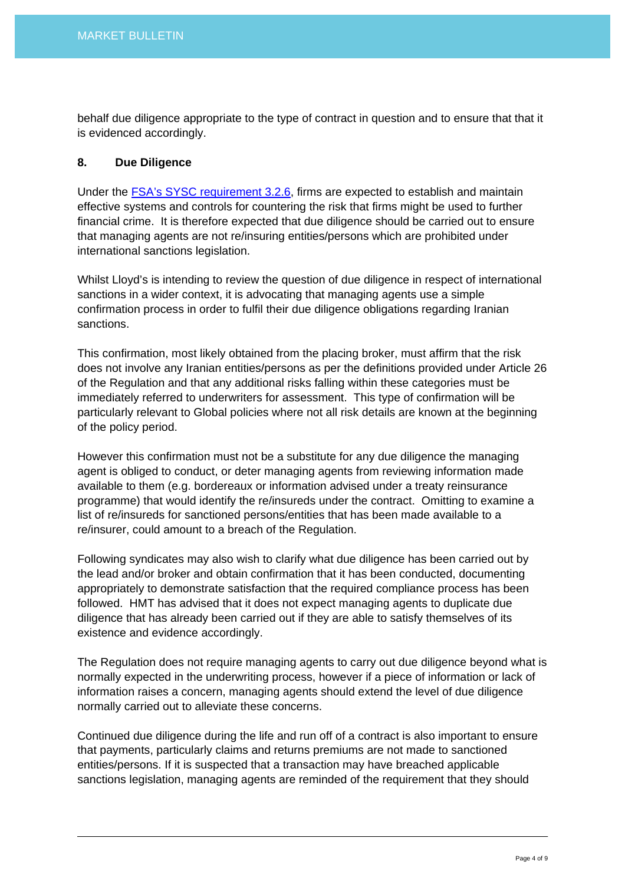behalf due diligence appropriate to the type of contract in question and to ensure that that it is evidenced accordingly.

# **8. Due Diligence**

Under the [FSA's SYSC requirement 3.2.6,](http://fsahandbook.info/FSA/html/handbook/SYSC/3/2) firms are expected to establish and maintain effective systems and controls for countering the risk that firms might be used to further financial crime. It is therefore expected that due diligence should be carried out to ensure that managing agents are not re/insuring entities/persons which are prohibited under international sanctions legislation.

Whilst Lloyd's is intending to review the question of due diligence in respect of international sanctions in a wider context, it is advocating that managing agents use a simple confirmation process in order to fulfil their due diligence obligations regarding Iranian sanctions.

This confirmation, most likely obtained from the placing broker, must affirm that the risk does not involve any Iranian entities/persons as per the definitions provided under Article 26 of the Regulation and that any additional risks falling within these categories must be immediately referred to underwriters for assessment. This type of confirmation will be particularly relevant to Global policies where not all risk details are known at the beginning of the policy period.

However this confirmation must not be a substitute for any due diligence the managing agent is obliged to conduct, or deter managing agents from reviewing information made available to them (e.g. bordereaux or information advised under a treaty reinsurance programme) that would identify the re/insureds under the contract. Omitting to examine a list of re/insureds for sanctioned persons/entities that has been made available to a re/insurer, could amount to a breach of the Regulation.

Following syndicates may also wish to clarify what due diligence has been carried out by the lead and/or broker and obtain confirmation that it has been conducted, documenting appropriately to demonstrate satisfaction that the required compliance process has been followed. HMT has advised that it does not expect managing agents to duplicate due diligence that has already been carried out if they are able to satisfy themselves of its existence and evidence accordingly.

The Regulation does not require managing agents to carry out due diligence beyond what is normally expected in the underwriting process, however if a piece of information or lack of information raises a concern, managing agents should extend the level of due diligence normally carried out to alleviate these concerns.

Continued due diligence during the life and run off of a contract is also important to ensure that payments, particularly claims and returns premiums are not made to sanctioned entities/persons. If it is suspected that a transaction may have breached applicable sanctions legislation, managing agents are reminded of the requirement that they should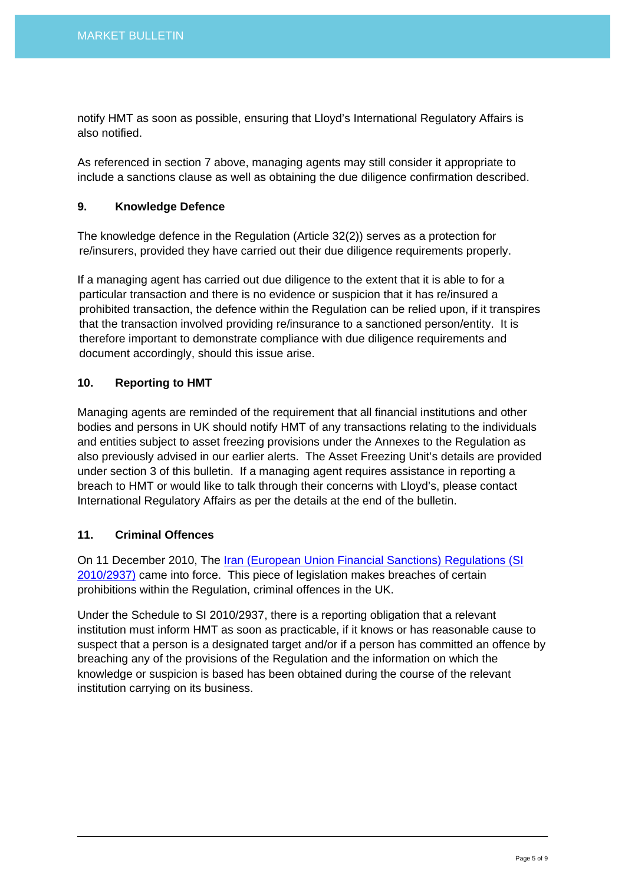notify HMT as soon as possible, ensuring that Lloyd's International Regulatory Affairs is also notified.

As referenced in section 7 above, managing agents may still consider it appropriate to include a sanctions clause as well as obtaining the due diligence confirmation described.

## **9. Knowledge Defence**

The knowledge defence in the Regulation (Article 32(2)) serves as a protection for re/insurers, provided they have carried out their due diligence requirements properly.

If a managing agent has carried out due diligence to the extent that it is able to for a particular transaction and there is no evidence or suspicion that it has re/insured a prohibited transaction, the defence within the Regulation can be relied upon, if it transpires that the transaction involved providing re/insurance to a sanctioned person/entity. It is therefore important to demonstrate compliance with due diligence requirements and document accordingly, should this issue arise.

## **10. Reporting to HMT**

Managing agents are reminded of the requirement that all financial institutions and other bodies and persons in UK should notify HMT of any transactions relating to the individuals and entities subject to asset freezing provisions under the Annexes to the Regulation as also previously advised in our earlier alerts. The Asset Freezing Unit's details are provided under section 3 of this bulletin. If a managing agent requires assistance in reporting a breach to HMT or would like to talk through their concerns with Lloyd's, please contact International Regulatory Affairs as per the details at the end of the bulletin.

# **11. Criminal Offences**

On 11 December 2010, The [Iran \(European Union Financial Sanctions\) Regulations \(SI](http://www.hm-treasury.gov.uk./d/iran_european_union_financial_sanctions_regulation_111210.pdf)  [2010/2937\)](http://www.hm-treasury.gov.uk./d/iran_european_union_financial_sanctions_regulation_111210.pdf) came into force. This piece of legislation makes breaches of certain prohibitions within the Regulation, criminal offences in the UK.

Under the Schedule to SI 2010/2937, there is a reporting obligation that a relevant institution must inform HMT as soon as practicable, if it knows or has reasonable cause to suspect that a person is a designated target and/or if a person has committed an offence by breaching any of the provisions of the Regulation and the information on which the knowledge or suspicion is based has been obtained during the course of the relevant institution carrying on its business.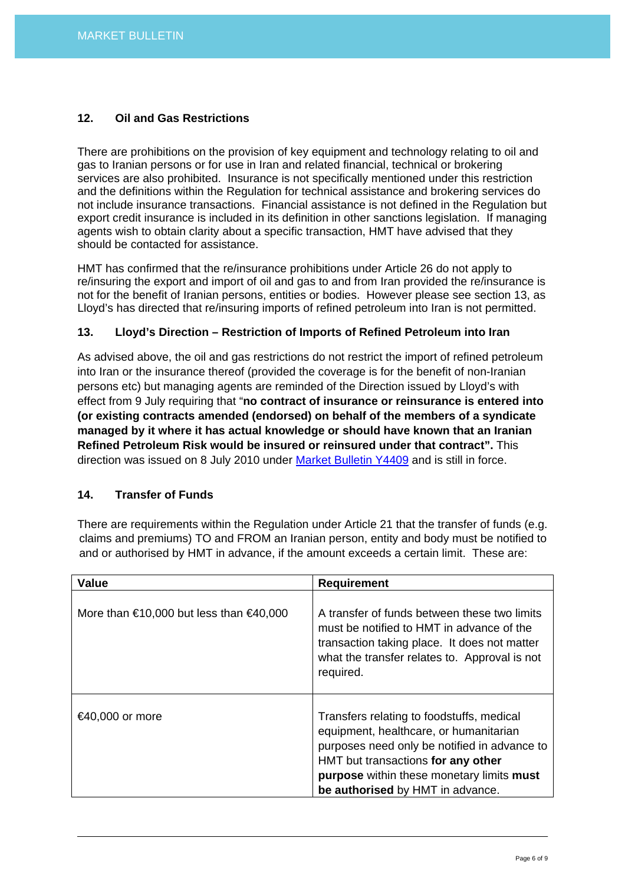## **12. Oil and Gas Restrictions**

There are prohibitions on the provision of key equipment and technology relating to oil and gas to Iranian persons or for use in Iran and related financial, technical or brokering services are also prohibited. Insurance is not specifically mentioned under this restriction and the definitions within the Regulation for technical assistance and brokering services do not include insurance transactions. Financial assistance is not defined in the Regulation but export credit insurance is included in its definition in other sanctions legislation. If managing agents wish to obtain clarity about a specific transaction, HMT have advised that they should be contacted for assistance.

HMT has confirmed that the re/insurance prohibitions under Article 26 do not apply to re/insuring the export and import of oil and gas to and from Iran provided the re/insurance is not for the benefit of Iranian persons, entities or bodies. However please see section 13, as Lloyd's has directed that re/insuring imports of refined petroleum into Iran is not permitted.

#### **13. Lloyd's Direction – Restriction of Imports of Refined Petroleum into Iran**

As advised above, the oil and gas restrictions do not restrict the import of refined petroleum into Iran or the insurance thereof (provided the coverage is for the benefit of non-Iranian persons etc) but managing agents are reminded of the Direction issued by Lloyd's with effect from 9 July requiring that "**no contract of insurance or reinsurance is entered into (or existing contracts amended (endorsed) on behalf of the members of a syndicate managed by it where it has actual knowledge or should have known that an Iranian Refined Petroleum Risk would be insured or reinsured under that contract".** This direction was issued on 8 July 2010 under [Market Bulletin Y4409](http://www.lloyds.com/%7E/media/Files/The%20Market/Communications/Market%20Bulletins/2010/07/Y4409.pdf) and is still in force.

#### **14. Transfer of Funds**

There are requirements within the Regulation under Article 21 that the transfer of funds (e.g. claims and premiums) TO and FROM an Iranian person, entity and body must be notified to and or authorised by HMT in advance, if the amount exceeds a certain limit. These are:

| Value                                                       | <b>Requirement</b>                                                                                                                                                                                                                                         |
|-------------------------------------------------------------|------------------------------------------------------------------------------------------------------------------------------------------------------------------------------------------------------------------------------------------------------------|
| More than $\epsilon$ 10,000 but less than $\epsilon$ 40,000 | A transfer of funds between these two limits<br>must be notified to HMT in advance of the<br>transaction taking place. It does not matter<br>what the transfer relates to. Approval is not<br>required.                                                    |
| €40,000 or more                                             | Transfers relating to foodstuffs, medical<br>equipment, healthcare, or humanitarian<br>purposes need only be notified in advance to<br>HMT but transactions for any other<br>purpose within these monetary limits must<br>be authorised by HMT in advance. |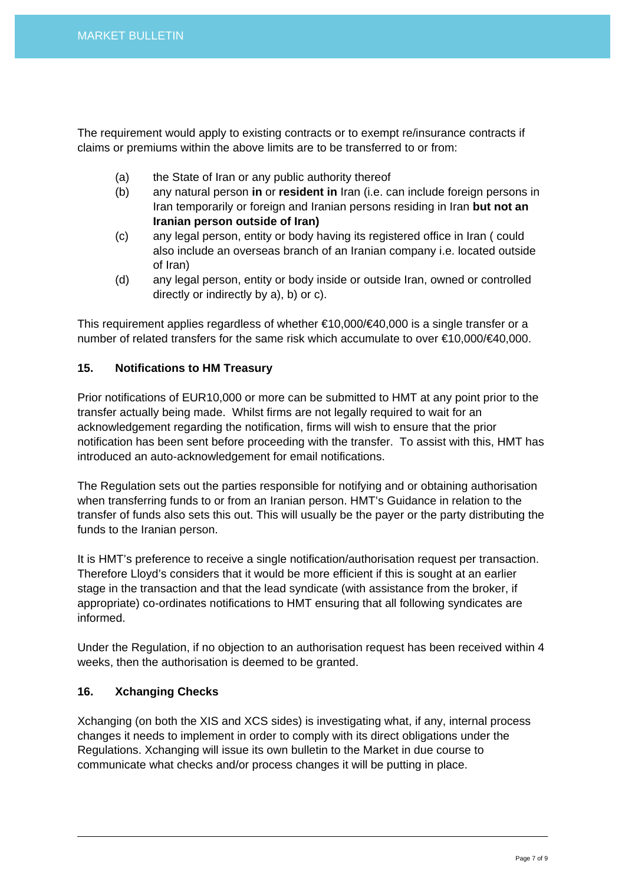The requirement would apply to existing contracts or to exempt re/insurance contracts if claims or premiums within the above limits are to be transferred to or from:

- (a) the State of Iran or any public authority thereof
- (b) any natural person **in** or **resident in** Iran (i.e. can include foreign persons in Iran temporarily or foreign and Iranian persons residing in Iran **but not an Iranian person outside of Iran)**
- (c) any legal person, entity or body having its registered office in Iran ( could also include an overseas branch of an Iranian company i.e. located outside of Iran)
- (d) any legal person, entity or body inside or outside Iran, owned or controlled directly or indirectly by a), b) or c).

This requirement applies regardless of whether €10,000/€40,000 is a single transfer or a number of related transfers for the same risk which accumulate to over €10,000/€40,000.

## **15. Notifications to HM Treasury**

Prior notifications of EUR10,000 or more can be submitted to HMT at any point prior to the transfer actually being made. Whilst firms are not legally required to wait for an acknowledgement regarding the notification, firms will wish to ensure that the prior notification has been sent before proceeding with the transfer. To assist with this, HMT has introduced an auto-acknowledgement for email notifications.

The Regulation sets out the parties responsible for notifying and or obtaining authorisation when transferring funds to or from an Iranian person. HMT's Guidance in relation to the transfer of funds also sets this out. This will usually be the payer or the party distributing the funds to the Iranian person.

It is HMT's preference to receive a single notification/authorisation request per transaction. Therefore Lloyd's considers that it would be more efficient if this is sought at an earlier stage in the transaction and that the lead syndicate (with assistance from the broker, if appropriate) co-ordinates notifications to HMT ensuring that all following syndicates are informed.

Under the Regulation, if no objection to an authorisation request has been received within 4 weeks, then the authorisation is deemed to be granted.

#### **16. Xchanging Checks**

Xchanging (on both the XIS and XCS sides) is investigating what, if any, internal process changes it needs to implement in order to comply with its direct obligations under the Regulations. Xchanging will issue its own bulletin to the Market in due course to communicate what checks and/or process changes it will be putting in place.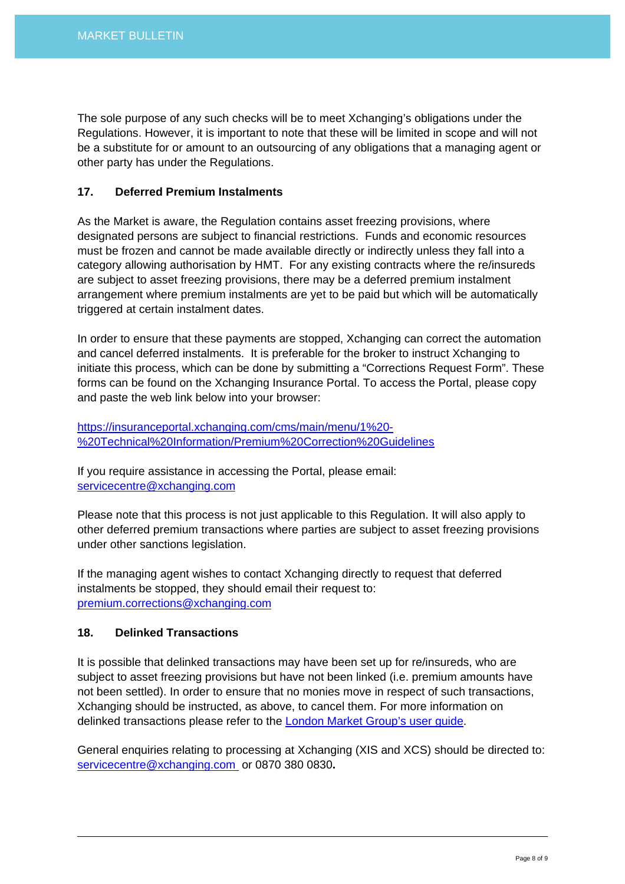The sole purpose of any such checks will be to meet Xchanging's obligations under the Regulations. However, it is important to note that these will be limited in scope and will not be a substitute for or amount to an outsourcing of any obligations that a managing agent or other party has under the Regulations.

## **17. Deferred Premium Instalments**

As the Market is aware, the Regulation contains asset freezing provisions, where designated persons are subject to financial restrictions. Funds and economic resources must be frozen and cannot be made available directly or indirectly unless they fall into a category allowing authorisation by HMT. For any existing contracts where the re/insureds are subject to asset freezing provisions, there may be a deferred premium instalment arrangement where premium instalments are yet to be paid but which will be automatically triggered at certain instalment dates.

In order to ensure that these payments are stopped, Xchanging can correct the automation and cancel deferred instalments. It is preferable for the broker to instruct Xchanging to initiate this process, which can be done by submitting a "Corrections Request Form". These forms can be found on the Xchanging Insurance Portal. To access the Portal, please copy and paste the web link below into your browser:

[https://insuranceportal.xchanging.com/cms/main/menu/1%20-](https://insuranceportal.xchanging.com/cms/main/menu/1%20-%20Technical%20Information/Premium%20Correction%20Guidelines) [%20Technical%20Information/Premium%20Correction%20Guidelines](https://insuranceportal.xchanging.com/cms/main/menu/1%20-%20Technical%20Information/Premium%20Correction%20Guidelines)

If you require assistance in accessing the Portal, please email: [servicecentre@xchanging.com](mailto:servicecentre@xchanging.com)

Please note that this process is not just applicable to this Regulation. It will also apply to other deferred premium transactions where parties are subject to asset freezing provisions under other sanctions legislation.

If the managing agent wishes to contact Xchanging directly to request that deferred instalments be stopped, they should email their request to: [premium.corrections@xchanging.com](mailto:premium.corrections@xchanging.com)

#### **18. Delinked Transactions**

It is possible that delinked transactions may have been set up for re/insureds, who are subject to asset freezing provisions but have not been linked (i.e. premium amounts have not been settled). In order to ensure that no monies move in respect of such transactions, Xchanging should be instructed, as above, to cancel them. For more information on delinked transactions please refer to the [London Market Group's user guide](http://www.marketreform.co.uk/index.php?option=com_content&view=category&id=40&Itemid=143).

General enquiries relating to processing at Xchanging (XIS and XCS) should be directed to: [servicecentre@xchanging.com](mailto:servicecentre@xchanging.com) or 0870 380 0830**.**